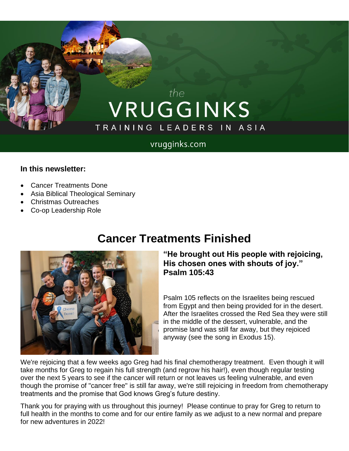# the VRUGGINKS TRAINING LEADERS IN ASIA

#### vrugginks.com

#### **In this newsletter:**

- Cancer Treatments Done
- Asia Biblical Theological Seminary
- Christmas Outreaches
- Co-op Leadership Role

### **Cancer Treatments Finished**



#### **"He brought out His people with rejoicing, His chosen ones with shouts of joy." Psalm 105:43**

Psalm 105 reflects on the Israelites being rescued from Egypt and then being provided for in the desert. After the Israelites crossed the Red Sea they were still in the middle of the dessert, vulnerable, and the promise land was still far away, but they rejoiced anyway (see the song in Exodus 15).

We're rejoicing that a few weeks ago Greg had his final chemotherapy treatment. Even though it will take months for Greg to regain his full strength (and regrow his hair!), even though regular testing over the next 5 years to see if the cancer will return or not leaves us feeling vulnerable, and even though the promise of "cancer free" is still far away, we're still rejoicing in freedom from chemotherapy treatments and the promise that God knows Greg's future destiny.

Thank you for praying with us throughout this journey! Please continue to pray for Greg to return to full health in the months to come and for our entire family as we adjust to a new normal and prepare for new adventures in 2022!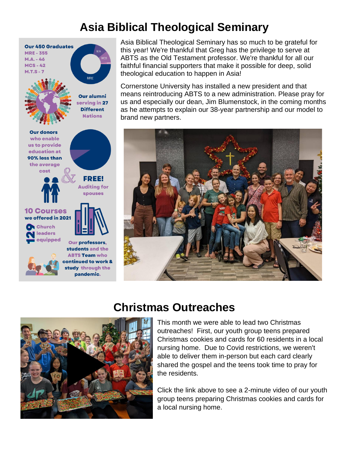# **Asia Biblical Theological Seminary**



Asia Biblical Theological Seminary has so much to be grateful for this year! We're thankful that Greg has the privilege to serve at ABTS as the Old Testament professor. We're thankful for all our faithful financial supporters that make it possible for deep, solid theological education to happen in Asia!

Cornerstone University has installed a new president and that means reintroducing ABTS to a new administration. Please pray for us and especially our dean, Jim Blumenstock, in the coming months as he attempts to explain our 38-year partnership and our model to brand new partners.





### **Christmas Outreaches**

This month we were able to lead two Christmas outreaches! First, our youth group teens prepared Christmas cookies and cards for 60 residents in a local nursing home. Due to Covid restrictions, we weren't able to deliver them in-person but each card clearly shared the gospel and the teens took time to pray for the residents.

Click the link above to see a 2-minute video of our youth group teens preparing Christmas cookies and cards for a local nursing home.